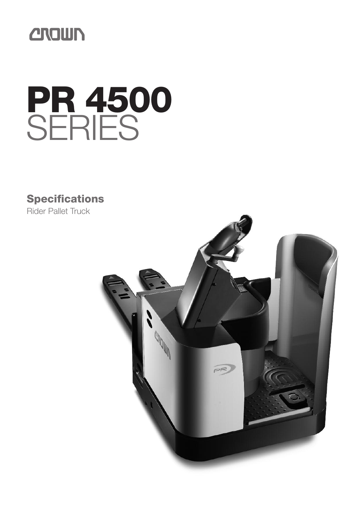

# **PR 4500** SERIES

**Specifications**

Rider Pallet Truck

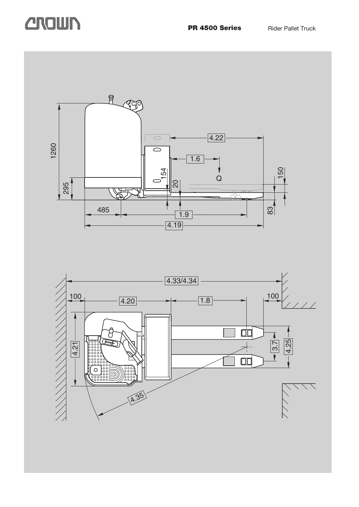# CROWN<br>PR 4500 Series Rider Pallet Truck



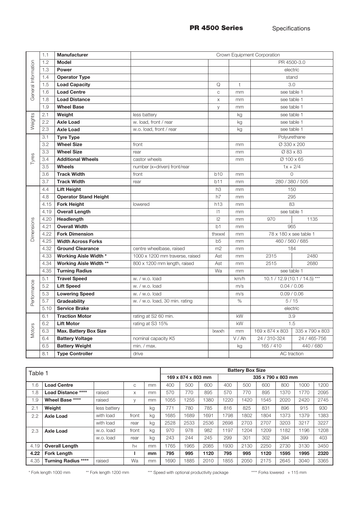**PR 4500 Series** Specifications

| General Information | 1.1  | Manufacturer                  | Crown Equipment Corporation     |                |           |                               |                 |  |  |
|---------------------|------|-------------------------------|---------------------------------|----------------|-----------|-------------------------------|-----------------|--|--|
|                     | 1.2  | <b>Model</b>                  |                                 |                |           | PR 4500-3.0                   |                 |  |  |
|                     | 1.3  | Power                         |                                 |                |           | electric                      |                 |  |  |
|                     | 1.4  | <b>Operator Type</b>          |                                 |                |           | stand                         |                 |  |  |
|                     | 1.5  | <b>Load Capacity</b>          |                                 | Q              | $\dagger$ |                               | 3.0             |  |  |
|                     | 1.6  | <b>Load Centre</b>            |                                 | $\mathsf{C}$   | mm        | see table 1                   |                 |  |  |
|                     | 1.8  | <b>Load Distance</b>          |                                 | X              | mm        | see table 1                   |                 |  |  |
|                     | 1.9  | <b>Wheel Base</b>             |                                 | У              | mm        | see table 1                   |                 |  |  |
| Weights             | 2.1  | Weight                        | less battery                    |                | kg        | see table 1                   |                 |  |  |
|                     | 2.2  | <b>Axle Load</b>              | w. load, front / rear           |                | kg        | see table 1                   |                 |  |  |
|                     | 2.3  | <b>Axle Load</b>              | w.o. load, front / rear         |                | kg        | see table 1                   |                 |  |  |
| Tyres               | 3.1  | <b>Tyre Type</b>              |                                 |                |           | Polyurethane                  |                 |  |  |
|                     | 3.2  | <b>Wheel Size</b>             | front                           |                | mm        | Ø 330 x 200                   |                 |  |  |
|                     | 3.3  | <b>Wheel Size</b>             | rear                            |                | mm        | Ø 83 x 83                     |                 |  |  |
|                     | 3.4  | <b>Additional Wheels</b>      | castor wheels                   |                | mm        | Ø 100 x 65                    |                 |  |  |
|                     | 3.5  | <b>Wheels</b>                 | number (x=driven) front/rear    |                |           |                               | $1x + 2/4$      |  |  |
|                     | 3.6  | <b>Track Width</b>            | front                           | b10            | mm        | $\overline{O}$                |                 |  |  |
|                     | 3.7  | <b>Track Width</b>            | rear                            | b11            | mm        | 280 / 380 / 505               |                 |  |  |
|                     | 4.4  | <b>Lift Height</b>            |                                 | h3             | mm        | 150                           |                 |  |  |
|                     | 4.8  | <b>Operator Stand Height</b>  |                                 | h7             | mm        | 295                           |                 |  |  |
|                     | 4.15 | <b>Fork Height</b>            | lowered                         | h13            | mm        | 83                            |                 |  |  |
|                     | 4.19 | <b>Overall Length</b>         |                                 | 1              | mm        | see table 1                   |                 |  |  |
|                     | 4.20 | Headlength                    |                                 | 2              | mm        | 970                           | 1135            |  |  |
|                     | 4.21 | <b>Overall Width</b>          |                                 | b1             | mm        | 965                           |                 |  |  |
| Dimensions          | 4.22 | <b>Fork Dimension</b>         |                                 | thxwxl         | mm        | 78 x 180 x see table 1        |                 |  |  |
|                     | 4.25 | <b>Width Across Forks</b>     |                                 | b <sub>5</sub> | mm        | 460 / 560 / 685               |                 |  |  |
|                     | 4.32 | <b>Ground Clearance</b>       | centre wheelbase, raised        | m2             | mm        | 184                           |                 |  |  |
|                     | 4.33 | <b>Working Aisle Width *</b>  | 1000 x 1200 mm traverse, raised | Ast            | mm        | 2315                          | 2480            |  |  |
|                     | 4.34 | <b>Working Aisle Width **</b> | 800 x 1200 mm length, raised    | Ast            | mm        | 2515                          | 2680            |  |  |
|                     | 4.35 | <b>Turning Radius</b>         |                                 | Wa             | mm        | see table 1                   |                 |  |  |
|                     | 5.1  | <b>Travel Speed</b>           | w. / w.o. load                  |                | km/h      | 10.1 / 12.9 (10.1 / 14.5) *** |                 |  |  |
|                     | 5.2  | <b>Lift Speed</b>             | w. / w.o. load                  |                | m/s       | 0.04 / 0.06                   |                 |  |  |
| Performance         | 5.3  | <b>Lowering Speed</b>         | w. / w.o. load                  |                | m/s       | 0.09 / 0.06                   |                 |  |  |
|                     | 5.7  | Gradeability                  | w. / w.o. load, 30 min. rating  |                | $\%$      | 5/15                          |                 |  |  |
|                     | 5.10 | <b>Service Brake</b>          |                                 |                |           |                               | electric        |  |  |
| <b>Motors</b>       | 6.1  | <b>Traction Motor</b>         | rating at S2 60 min.            |                | kW        | 3.9                           |                 |  |  |
|                     | 6.2  | <b>Lift Motor</b>             | rating at S3 15%                |                | kW        | 1.5                           |                 |  |  |
|                     | 6.3  | <b>Max. Battery Box Size</b>  |                                 | <i>lxwxh</i>   | mm        | 169 x 874 x 803               | 335 x 790 x 803 |  |  |
|                     | 6.4  | <b>Battery Voltage</b>        | nominal capacity K5             |                | V/Ah      | 24 / 310-324                  | 24 / 465-756    |  |  |
|                     | 6.5  | <b>Battery Weight</b>         | min. / max.                     |                | kg        | 165 / 410                     | 440 / 680       |  |  |
|                     | 8.1  | <b>Type Controller</b>        | drive                           |                |           | AC traction                   |                 |  |  |

| Table 1 |                            |              |                | <b>Battery Box Size</b> |      |                    |      |      |      |      |      |      |      |
|---------|----------------------------|--------------|----------------|-------------------------|------|--------------------|------|------|------|------|------|------|------|
|         |                            |              |                | 169 x 874 x 803 mm      |      | 335 x 790 x 803 mm |      |      |      |      |      |      |      |
| 1.6     | <b>Load Centre</b>         |              | C              | mm                      | 400  | 500                | 600  | 400  | 500  | 600  | 800  | 1000 | 1200 |
| 1.8     | Load Distance ****         | raised       | X              | mm                      | 570  | 770                | 895  | 570  | 770  | 895  | 1370 | 1770 | 2095 |
| 1.9     | Wheel Base ****            | raised       | У              | mm                      | 1055 | 1255               | 1380 | 1220 | 1420 | 1545 | 2020 | 2420 | 2745 |
| 2.1     | Weight                     | less battery |                | kg                      | 771  | 780                | 785  | 816  | 825  | 831  | 896  | 915  | 930  |
| 2.2     | Axle Load                  | with load    | front          | kg                      | 1685 | 1689               | 1691 | 1798 | 1802 | 1804 | 1373 | 1379 | 1383 |
|         |                            | with load    | rear           | kg                      | 2528 | 2533               | 2536 | 2698 | 2703 | 2707 | 3203 | 3217 | 3227 |
| 2.3     | <b>Axle Load</b>           | w.o. load    | front          | kg                      | 970  | 978                | 982  | 1197 | 1204 | 1209 | 1182 | 1196 | 1208 |
|         |                            | w.o. load    | rear           | kg                      | 243  | 244                | 245  | 299  | 301  | 302  | 394  | 399  | 403  |
| 4.19    | <b>Overall Length</b>      |              | h <sub>4</sub> | mm                      | 1765 | 1965               | 2085 | 1930 | 2130 | 2250 | 2730 | 3130 | 3450 |
| 4.22    | <b>Fork Length</b>         |              |                | mm                      | 795  | 995                | 1120 | 795  | 995  | 1120 | 1595 | 1995 | 2320 |
| 4.35    | <b>Turning Radius ****</b> | raised       | Wa             | mm                      | 1690 | 1885               | 2010 | 1855 | 2050 | 2175 | 2645 | 3040 | 3365 |

\* Fork length 1000 mm \*\* Fork length 1200 mm \*\*\* Speed with optional productivity package \*\*\*\*\* Forks lowered + 115 mm